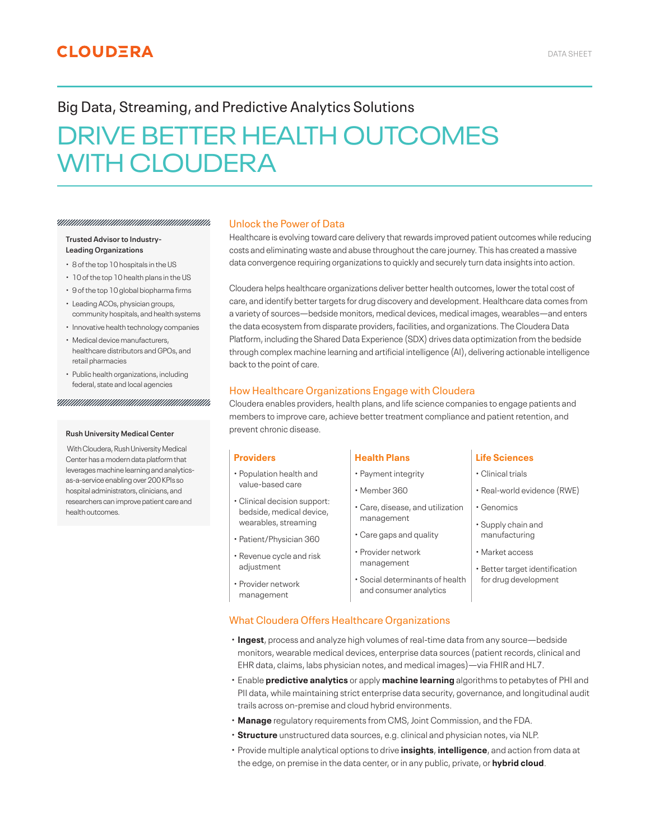# Big Data, Streaming, and Predictive Analytics Solutions

# DRIVE BETTER HEALTH OUTCOMES WITH CLOUDERA

# **Trusted Advisor to Industry-Leading Organizations**

<u>ЧИНИШИШИШИШИШИШИШИШИШ</u>

- 8 of the top 10 hospitals in the US
- 10 of the top 10 health plans in the US
- 9 of the top 10 global biopharma firms
- Leading ACOs, physician groups, community hospitals, and health systems
- Innovative health technology companies
- Medical device manufacturers, healthcare distributors and GPOs, and retail pharmacies
- Public health organizations, including federal, state and local agencies

### 

### **Rush University Medical Center**

 With Cloudera, Rush University Medical Center has a modern data platform that leverages machine learning and analyticsas-a-service enabling over 200 KPIs so hospital administrators, clinicians, and researchers can improve patient care and health outcomes.

## Unlock the Power of Data

Healthcare is evolving toward care delivery that rewards improved patient outcomes while reducing costs and eliminating waste and abuse throughout the care journey. This has created a massive data convergence requiring organizations to quickly and securely turn data insights into action.

Cloudera helps healthcare organizations deliver better health outcomes, lower the total cost of care, and identify better targets for drug discovery and development. Healthcare data comes from a variety of sources—bedside monitors, medical devices, medical images, wearables—and enters the data ecosystem from disparate providers, facilities, and organizations. The Cloudera Data Platform, including the Shared Data Experience (SDX) drives data optimization from the bedside through complex machine learning and artificial intelligence (AI), delivering actionable intelligence back to the point of care.

# How Healthcare Organizations Engage with Cloudera

Cloudera enables providers, health plans, and life science companies to engage patients and members to improve care, achieve better treatment compliance and patient retention, and prevent chronic disease.

- Population health and value-based care
- Clinical decision support: bedside, medical device, wearables, streaming
- Patient/Physician 360
- Revenue cycle and risk adjustment
- Provider network management

# **Providers Health Plans Life Sciences**

- Payment integrity
- Member 360
- Care, disease, and utilization management
- Care gaps and quality
- Provider network management
- Social determinants of health and consumer analytics

- Clinical trials
- Real-world evidence (RWE)
- Genomics
- Supply chain and manufacturing
- Market access
- Better target identification for drug development
- What Cloudera Offers Healthcare Organizations
- **Ingest**, process and analyze high volumes of real-time data from any source—bedside monitors, wearable medical devices, enterprise data sources (patient records, clinical and EHR data, claims, labs physician notes, and medical images)—via FHIR and HL7.
- Enable **predictive analytics** or apply **machine learning** algorithms to petabytes of PHI and PII data, while maintaining strict enterprise data security, governance, and longitudinal audit trails across on-premise and cloud hybrid environments.
- **Manage** regulatory requirements from CMS, Joint Commission, and the FDA.
- **Structure** unstructured data sources, e.g. clinical and physician notes, via NLP.
- Provide multiple analytical options to drive **insights**, **intelligence**, and action from data at the edge, on premise in the data center, or in any public, private, or **hybrid cloud**.